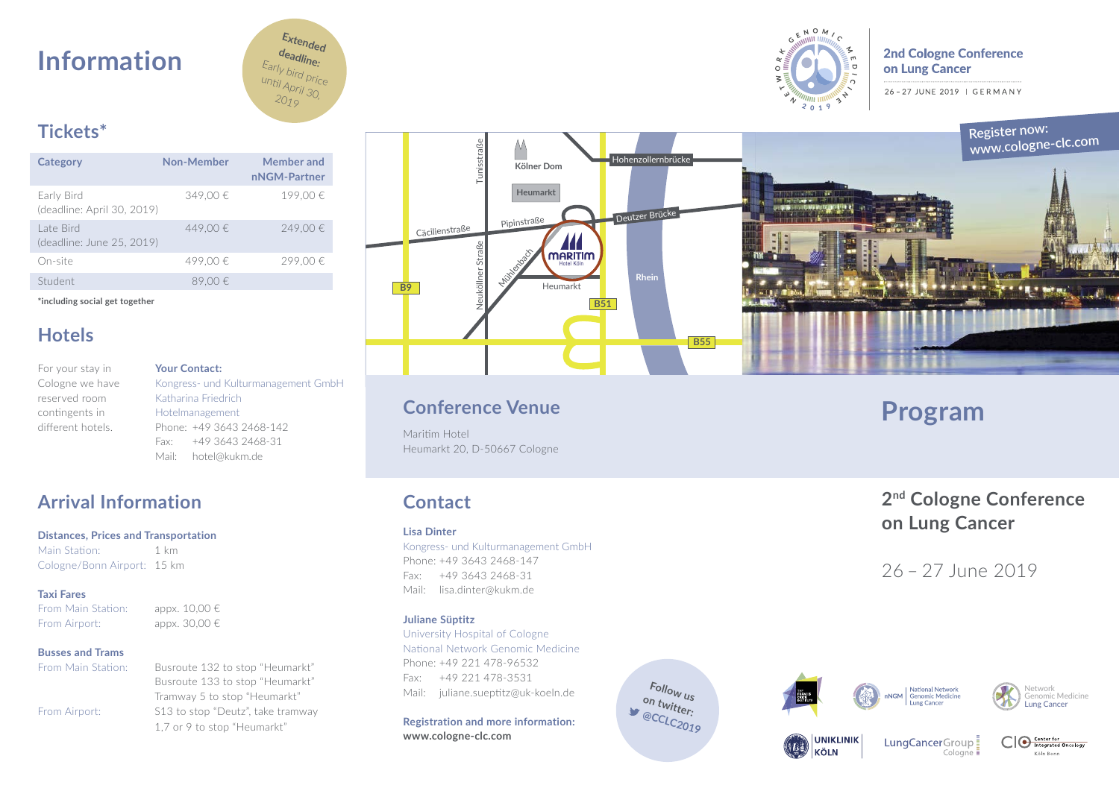# **Information**



# $R \overset{\circ}{\sim} N$  O M n<br>O

**2nd Cologne Conference** on Lung Cancer

26-27 JUNE 2019 | GERMANY

# **Tickets\***

| Category                                 | Non-Member | Member and<br>nNGM-Partner |
|------------------------------------------|------------|----------------------------|
| Early Bird<br>(deadline: April 30, 2019) | 349.00€    | 199.00€                    |
| Late Bird<br>(deadline: June 25, 2019)   | 449.00€    | 249.00€                    |
| On-site                                  | 499.00€    | 299,00€                    |
| Student                                  | 89.00€     |                            |

**\*including social get together**

# **Hotels**

For your stay in Cologne we have reserved room contingents in different hotels.

**Your Contact:** Kongress- und Kulturmanagement GmbH Katharina Friedrich Hotelmanagement Phone: +49 3643 2468-142 Fax: +49 3643 2468-31 Mail: hotel@kukm.de

# **Arrival Information**

### **Distances, Prices and Transportation**

Main Station: 1 km Cologne/Bonn Airport: 15 km

# **Taxi Fares**

From Main Station: appx.  $10.00 \in$ From Airport: appx. 30,00 €

# **Busses and Trams**

From Main Station: Busroute 132 to stop "Heumarkt"

Busroute 133 to stop "Heumarkt" Tramway 5 to stop "Heumarkt" From Airport: S13 to stop "Deutz", take tramway 1,7 or 9 to stop "Heumarkt"



# **Conference Venue**

Maritim Hotel Heumarkt 20, D-50667 Cologne

# **Contact**

### **Lisa Dinter**

Kongress- und Kulturmanagement GmbH Phone: +49 3643 2468-147 Fax: +49 3643 2468-31 Mail: lisa.dinter@kukm.de

### **Juliane Süptitz**

University Hospital of Cologne National Network Genomic Medicine Phone: +49 221 478-96532 Fax: +49 221 478-3531 Mail: juliane.sueptitz@uk-koeln.de

**Registration and more information:** 

**www.cologne-clc.com**

# **Program<br>2<sup>nd</sup> Cologne Conference on Lung Cancer**

26 – 27 June 2019